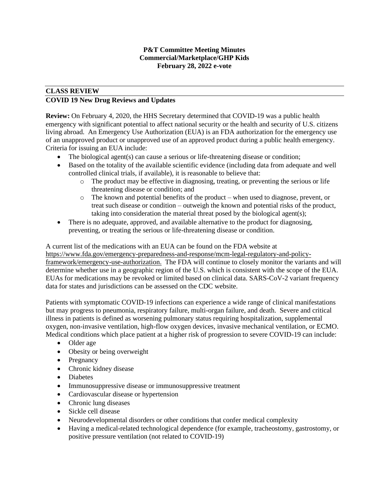### **P&T Committee Meeting Minutes Commercial/Marketplace/GHP Kids February 28, 2022 e-vote**

## **CLASS REVIEW COVID 19 New Drug Reviews and Updates**

**Review:** On February 4, 2020, the HHS Secretary determined that COVID-19 was a public health emergency with significant potential to affect national security or the health and security of U.S. citizens living abroad. An Emergency Use Authorization (EUA) is an FDA authorization for the emergency use of an unapproved product or unapproved use of an approved product during a public health emergency. Criteria for issuing an EUA include:

- The biological agent(s) can cause a serious or life-threatening disease or condition;
- Based on the totality of the available scientific evidence (including data from adequate and well controlled clinical trials, if available), it is reasonable to believe that:
	- o The product may be effective in diagnosing, treating, or preventing the serious or life threatening disease or condition; and
	- $\circ$  The known and potential benefits of the product when used to diagnose, prevent, or treat such disease or condition – outweigh the known and potential risks of the product, taking into consideration the material threat posed by the biological agent(s);
- There is no adequate, approved, and available alternative to the product for diagnosing, preventing, or treating the serious or life-threatening disease or condition.

A current list of the medications with an EUA can be found on the FDA website at https:/[/www.fda.gov/emergency-preparedness-and-response/mcm-legal-regulatory-and-policy](http://www.fda.gov/emergency-preparedness-and-response/mcm-legal-regulatory-and-policy-framework/emergency-use-authorization)[framework/emergency-use-authorization.](http://www.fda.gov/emergency-preparedness-and-response/mcm-legal-regulatory-and-policy-framework/emergency-use-authorization) The FDA will continue to closely monitor the variants and will determine whether use in a geographic region of the U.S. which is consistent with the scope of the EUA. EUAs for medications may be revoked or limited based on clinical data. SARS-CoV-2 variant frequency data for states and jurisdictions can be assessed on the CDC website.

Patients with symptomatic COVID-19 infections can experience a wide range of clinical manifestations but may progress to pneumonia, respiratory failure, multi-organ failure, and death. Severe and critical illness in patients is defined as worsening pulmonary status requiring hospitalization, supplemental oxygen, non-invasive ventilation, high-flow oxygen devices, invasive mechanical ventilation, or ECMO. Medical conditions which place patient at a higher risk of progression to severe COVID-19 can include:

- Older age
- Obesity or being overweight
- Pregnancy
- Chronic kidney disease
- Diabetes
- Immunosuppressive disease or immunosuppressive treatment
- Cardiovascular disease or hypertension
- Chronic lung diseases
- Sickle cell disease
- Neurodevelopmental disorders or other conditions that confer medical complexity
- Having a medical-related technological dependence (for example, tracheostomy, gastrostomy, or positive pressure ventilation (not related to COVID-19)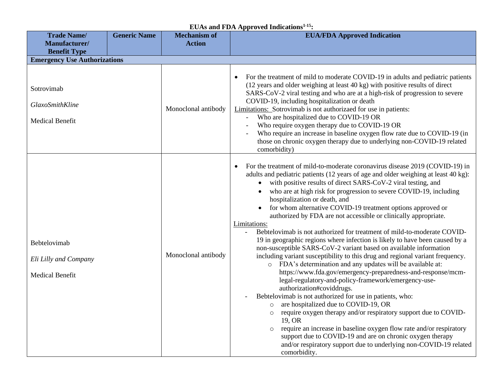| <b>Trade Name/</b>                                              | <b>Generic Name</b> | <b>Mechanism of</b> | <b>EUA/FDA Approved Indication</b>                                                                                                                                                                                                                                                                                                                                                                                                                                                                                                                                                                                                                                                                                                                                                                                                                                                                                                                                                                                                                                                                                                                                                                                                                                                                                                                                                                                                                                          |  |  |  |
|-----------------------------------------------------------------|---------------------|---------------------|-----------------------------------------------------------------------------------------------------------------------------------------------------------------------------------------------------------------------------------------------------------------------------------------------------------------------------------------------------------------------------------------------------------------------------------------------------------------------------------------------------------------------------------------------------------------------------------------------------------------------------------------------------------------------------------------------------------------------------------------------------------------------------------------------------------------------------------------------------------------------------------------------------------------------------------------------------------------------------------------------------------------------------------------------------------------------------------------------------------------------------------------------------------------------------------------------------------------------------------------------------------------------------------------------------------------------------------------------------------------------------------------------------------------------------------------------------------------------------|--|--|--|
| Manufacturer/                                                   |                     | <b>Action</b>       |                                                                                                                                                                                                                                                                                                                                                                                                                                                                                                                                                                                                                                                                                                                                                                                                                                                                                                                                                                                                                                                                                                                                                                                                                                                                                                                                                                                                                                                                             |  |  |  |
| <b>Benefit Type</b>                                             |                     |                     |                                                                                                                                                                                                                                                                                                                                                                                                                                                                                                                                                                                                                                                                                                                                                                                                                                                                                                                                                                                                                                                                                                                                                                                                                                                                                                                                                                                                                                                                             |  |  |  |
| <b>Emergency Use Authorizations</b>                             |                     |                     |                                                                                                                                                                                                                                                                                                                                                                                                                                                                                                                                                                                                                                                                                                                                                                                                                                                                                                                                                                                                                                                                                                                                                                                                                                                                                                                                                                                                                                                                             |  |  |  |
| Sotrovimab<br>GlaxoSmithKline<br><b>Medical Benefit</b>         |                     | Monoclonal antibody | For the treatment of mild to moderate COVID-19 in adults and pediatric patients<br>$\bullet$<br>(12 years and older weighing at least 40 kg) with positive results of direct<br>SARS-CoV-2 viral testing and who are at a high-risk of progression to severe<br>COVID-19, including hospitalization or death<br>Limitations: Sotrovimab is not authorizaed for use in patients:<br>Who are hospitalized due to COVID-19 OR<br>Who require oxygen therapy due to COVID-19 OR<br>Who require an increase in baseline oxygen flow rate due to COVID-19 (in<br>those on chronic oxygen therapy due to underlying non-COVID-19 related<br>comorbidity)                                                                                                                                                                                                                                                                                                                                                                                                                                                                                                                                                                                                                                                                                                                                                                                                                           |  |  |  |
| Bebtelovimab<br>Eli Lilly and Company<br><b>Medical Benefit</b> |                     | Monoclonal antibody | For the treatment of mild-to-moderate coronavirus disease 2019 (COVID-19) in<br>adults and pediatric patients (12 years of age and older weighing at least 40 kg):<br>with positive results of direct SARS-CoV-2 viral testing, and<br>who are at high risk for progression to severe COVID-19, including<br>hospitalization or death, and<br>for whom alternative COVID-19 treatment options approved or<br>authorized by FDA are not accessible or clinically appropriate.<br>Limitations:<br>Bebtelovimab is not authorized for treatment of mild-to-moderate COVID-<br>19 in geographic regions where infection is likely to have been caused by a<br>non-susceptible SARS-CoV-2 variant based on available information<br>including variant susceptibility to this drug and regional variant frequency.<br>o FDA's determination and any updates will be available at:<br>https://www.fda.gov/emergency-preparedness-and-response/mcm-<br>legal-regulatory-and-policy-framework/emergency-use-<br>authorization#coviddrugs.<br>Bebtelovimab is not authorized for use in patients, who:<br>are hospitalized due to COVID-19, OR<br>$\circ$<br>require oxygen therapy and/or respiratory support due to COVID-<br>$\circ$<br>19, OR<br>require an increase in baseline oxygen flow rate and/or respiratory<br>$\circ$<br>support due to COVID-19 and are on chronic oxygen therapy<br>and/or respiratory support due to underlying non-COVID-19 related<br>comorbidity. |  |  |  |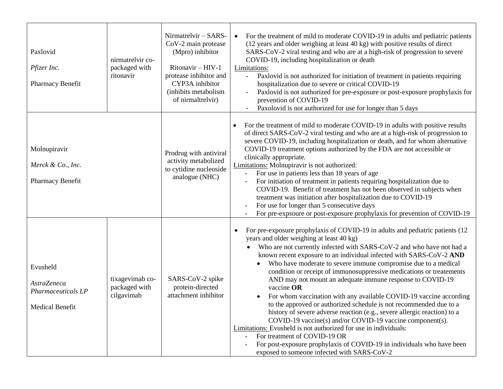| Paxlovid<br>Pfizer Inc.<br>Pharmacy Benefit                                    | nirmatrelvir co-<br>packaged with<br>ritonavir | Nirmatrelvir - SARS-<br>CoV-2 main protease<br>(Mpro) inhibitor<br>Ritonavir - HIV-1<br>protease inhibitor and<br>CYP3A inhibitor<br>(inhibits metabolism<br>of nirmaltrelvir) | For the treatment of mild to moderate COVID-19 in adults and pediatric patients<br>$\bullet$<br>(12 years and older weighing at least 40 kg) with positive results of direct<br>SARS-CoV-2 viral testing and who are at a high-risk of progression to severe<br>COVID-19, including hospitalization or death<br>Limitations:<br>Paxlovid is not authorized for initiation of treatment in patients requiring<br>$\equiv$<br>hospitalization due to severe or critical COVID-19<br>Paxlovid is not authorized for pre-exposure or post-exposure prophylaxis for<br>$\blacksquare$<br>prevention of COVID-19<br>Paxolovid is not authorized for use for longer than 5 days                                                                                                                                                                                                                                                                                                                                                                   |
|--------------------------------------------------------------------------------|------------------------------------------------|--------------------------------------------------------------------------------------------------------------------------------------------------------------------------------|--------------------------------------------------------------------------------------------------------------------------------------------------------------------------------------------------------------------------------------------------------------------------------------------------------------------------------------------------------------------------------------------------------------------------------------------------------------------------------------------------------------------------------------------------------------------------------------------------------------------------------------------------------------------------------------------------------------------------------------------------------------------------------------------------------------------------------------------------------------------------------------------------------------------------------------------------------------------------------------------------------------------------------------------|
| Molnupiravir<br>Merck & Co., Inc.<br>Pharmacy Benefit                          |                                                | Prodrug with antiviral<br>activity metabolized<br>to cytidine nucleoside<br>analogue (NHC)                                                                                     | For the treatment of mild to moderate COVID-19 in adults with positive results<br>of direct SARS-CoV-2 viral testing and who are at a high-risk of progression to<br>severe COVID-19, including hospitalization or death, and for whom alternative<br>COVID-19 treatment options authorized by the FDA are not accessible or<br>clinically appropriate.<br>Limitations: Molnupiravir is not authorized:<br>For use in patients less than 18 years of age<br>$\blacksquare$<br>For initiation of treatment in patients requiring hospitalization due to<br>$\overline{a}$<br>COVID-19. Benefit of treatment has not been observed in subjects when<br>treatment was initiation after hospitalization due to COVID-19<br>For use for longer than 5 consecutive days<br>For pre-expsoure or post-exposure prophylaxis for prevention of COVID-19                                                                                                                                                                                              |
| Evusheld<br><b>AstraZeneca</b><br>Pharmaceuticals LP<br><b>Medical Benefit</b> | tixagevimab co-<br>packaged with<br>cilgavimab | SARS-CoV-2 spike<br>protein-directed<br>attachment inhibitor                                                                                                                   | For pre-exposure prophylaxis of COVID-19 in adults and pediatric patients (12)<br>$\bullet$<br>years and older weighing at least 40 kg)<br>Who are not currently infected with SARS-CoV-2 and who have not had a<br>known recent exposure to an individual infected with SARS-CoV-2 AND<br>Who have moderate to severe immune compromise due to a medical<br>condition or receipt of immunosuppressive medications or treatements<br>AND may not mount an adequate immune response to COVID-19<br>vaccine OR<br>For whom vaccination with any available COVID-19 vaccine according<br>$\bullet$<br>to the approved or authorized schedule is not recommended due to a<br>history of severe adverse reaction (e.g., severe allergic reaction) to a<br>COVID-19 vaccine(s) and/or COVID-19 vaccine component(s).<br>Limitations: Evusheld is not authorized for use in individuals:<br>For treatment of COVID-19 OR<br>For post-exposure prophylaxis of COVID-19 in individuals who have been<br>exposed to someone infected with SARS-CoV-2 |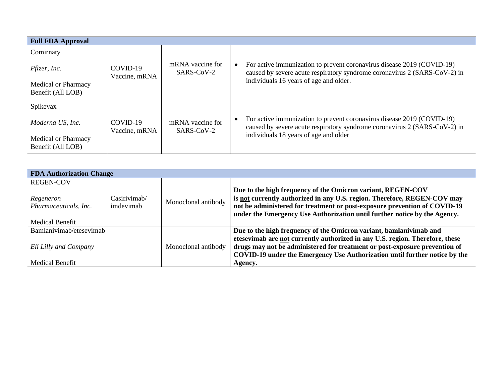| <b>Full FDA Approval</b>                        |                           |                                |                                                                                                                                                                                               |  |  |
|-------------------------------------------------|---------------------------|--------------------------------|-----------------------------------------------------------------------------------------------------------------------------------------------------------------------------------------------|--|--|
| Comirnaty                                       |                           |                                |                                                                                                                                                                                               |  |  |
| Pfizer, Inc.                                    | COVID-19<br>Vaccine, mRNA | mRNA vaccine for<br>SARS-CoV-2 | For active immunization to prevent coronavirus disease 2019 (COVID-19)<br>caused by severe acute respiratory syndrome coronavirus 2 (SARS-CoV-2) in<br>individuals 16 years of age and older. |  |  |
| <b>Medical or Pharmacy</b><br>Benefit (All LOB) |                           |                                |                                                                                                                                                                                               |  |  |
| Spikevax                                        |                           |                                |                                                                                                                                                                                               |  |  |
| Moderna US, Inc.                                | COVID-19<br>Vaccine, mRNA | mRNA vaccine for<br>SARS-CoV-2 | For active immunization to prevent coronavirus disease 2019 (COVID-19)<br>caused by severe acute respiratory syndrome coronavirus 2 (SARS-CoV-2) in                                           |  |  |
| <b>Medical or Pharmacy</b><br>Benefit (All LOB) |                           |                                | individuals 18 years of age and older                                                                                                                                                         |  |  |

| <b>FDA Authorization Change</b>                        |                           |                     |                                                                                                                                                                                                                      |  |  |
|--------------------------------------------------------|---------------------------|---------------------|----------------------------------------------------------------------------------------------------------------------------------------------------------------------------------------------------------------------|--|--|
| <b>REGEN-COV</b><br>Regeneron<br>Pharmaceuticals, Inc. | Casirivimab/<br>imdevimab | Monoclonal antibody | Due to the high frequency of the Omicron variant, REGEN-COV<br>is not currently authorized in any U.S. region. Therefore, REGEN-COV may<br>not be administered for treatment or post-exposure prevention of COVID-19 |  |  |
| <b>Medical Benefit</b>                                 |                           |                     | under the Emergency Use Authorization until further notice by the Agency.                                                                                                                                            |  |  |
| Bamlanivimab/etesevimab                                |                           | Monoclonal antibody | Due to the high frequency of the Omicron variant, bamlanivimab and<br>etesevimab are not currently authorized in any U.S. region. Therefore, these                                                                   |  |  |
| Eli Lilly and Company                                  |                           |                     | drugs may not be administered for treatment or post-exposure prevention of<br>COVID-19 under the Emergency Use Authorization until further notice by the                                                             |  |  |
| <b>Medical Benefit</b>                                 |                           |                     | Agency.                                                                                                                                                                                                              |  |  |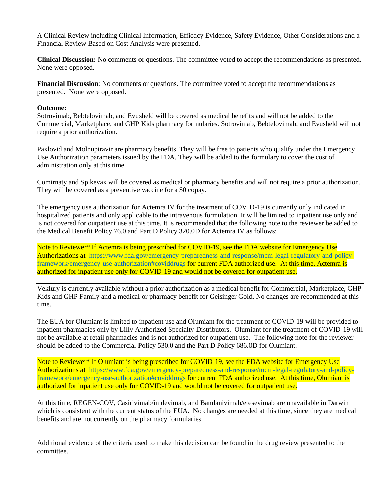A Clinical Review including Clinical Information, Efficacy Evidence, Safety Evidence, Other Considerations and a Financial Review Based on Cost Analysis were presented.

**Clinical Discussion:** No comments or questions. The committee voted to accept the recommendations as presented. None were opposed.

**Financial Discussion**: No comments or questions. The committee voted to accept the recommendations as presented. None were opposed.

#### **Outcome:**

Sotrovimab, Bebtelovimab, and Evusheld will be covered as medical benefits and will not be added to the Commercial, Marketplace, and GHP Kids pharmacy formularies. Sotrovimab, Bebtelovimab, and Evusheld will not require a prior authorization.

Paxlovid and Molnupiravir are pharmacy benefits. They will be free to patients who qualify under the Emergency Use Authorization parameters issued by the FDA. They will be added to the formulary to cover the cost of administration only at this time.

Comirnaty and Spikevax will be covered as medical or pharmacy benefits and will not require a prior authorization. They will be covered as a preventive vaccine for a \$0 copay.

The emergency use authorization for Actemra IV for the treatment of COVID-19 is currently only indicated in hospitalized patients and only applicable to the intravenous formulation. It will be limited to inpatient use only and is not covered for outpatient use at this time. It is recommended that the following note to the reviewer be added to the Medical Benefit Policy 76.0 and Part D Policy 320.0D for Actemra IV as follows:

Note to Reviewer\* If Actemra is being prescribed for COVID-19, see the FDA website for Emergency Use Authorizations at [https://www.fda.gov/emergency-preparedness-and-response/mcm-legal-regulatory-and-policy](https://www.fda.gov/emergency-preparedness-and-response/mcm-legal-regulatory-and-policy-framework/emergency-use-authorization#coviddrugs)[framework/emergency-use-authorization#coviddrugs](https://www.fda.gov/emergency-preparedness-and-response/mcm-legal-regulatory-and-policy-framework/emergency-use-authorization#coviddrugs) for current FDA authorized use. At this time, Actemra is authorized for inpatient use only for COVID-19 and would not be covered for outpatient use.

Veklury is currently available without a prior authorization as a medical benefit for Commercial, Marketplace, GHP Kids and GHP Family and a medical or pharmacy benefit for Geisinger Gold. No changes are recommended at this time.

The EUA for Olumiant is limited to inpatient use and Olumiant for the treatment of COVID-19 will be provided to inpatient pharmacies only by Lilly Authorized Specialty Distributors. Olumiant for the treatment of COVID-19 will not be available at retail pharmacies and is not authorized for outpatient use. The following note for the reviewer should be added to the Commercial Policy 530.0 and the Part D Policy 686.0D for Olumiant.

Note to Reviewer<sup>\*</sup> If Olumiant is being prescribed for COVID-19, see the FDA website for Emergency Use Authorizations at [https://www.fda.gov/emergency-preparedness-and-response/mcm-legal-regulatory-and-policy](https://www.fda.gov/emergency-preparedness-and-response/mcm-legal-regulatory-and-policy-framework/emergency-use-authorization#coviddrugs)[framework/emergency-use-authorization#coviddrugs](https://www.fda.gov/emergency-preparedness-and-response/mcm-legal-regulatory-and-policy-framework/emergency-use-authorization#coviddrugs) for current FDA authorized use. At this time, Olumiant is authorized for inpatient use only for COVID-19 and would not be covered for outpatient use.

At this time, REGEN-COV, Casirivimab/imdevimab, and Bamlanivimab/etesevimab are unavailable in Darwin which is consistent with the current status of the EUA. No changes are needed at this time, since they are medical benefits and are not currently on the pharmacy formularies.

Additional evidence of the criteria used to make this decision can be found in the drug review presented to the committee.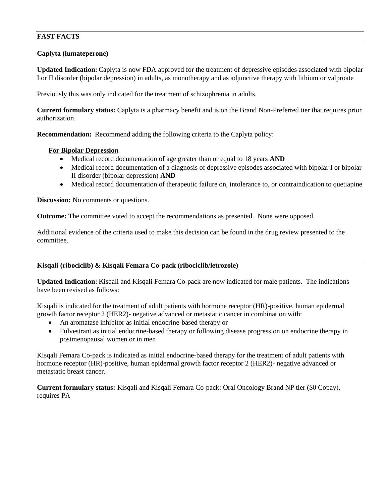# **FAST FACTS**

## **Caplyta (lumateperone)**

**Updated Indication:** Caplyta is now FDA approved for the treatment of depressive episodes associated with bipolar I or II disorder (bipolar depression) in adults, as monotherapy and as adjunctive therapy with lithium or valproate

Previously this was only indicated for the treatment of schizophrenia in adults.

**Current formulary status:** Caplyta is a pharmacy benefit and is on the Brand Non-Preferred tier that requires prior authorization.

**Recommendation:** Recommend adding the following criteria to the Caplyta policy:

### **For Bipolar Depression**

- Medical record documentation of age greater than or equal to 18 years **AND**
- Medical record documentation of a diagnosis of depressive episodes associated with bipolar I or bipolar II disorder (bipolar depression) **AND**
- Medical record documentation of therapeutic failure on, intolerance to, or contraindication to quetiapine

**Discussion:** No comments or questions.

**Outcome:** The committee voted to accept the recommendations as presented. None were opposed.

Additional evidence of the criteria used to make this decision can be found in the drug review presented to the committee.

# **Kisqali (ribociclib) & Kisqali Femara Co-pack (ribociclib/letrozole)**

**Updated Indication:** Kisqali and Kisqali Femara Co-pack are now indicated for male patients. The indications have been revised as follows:

Kisqali is indicated for the treatment of adult patients with hormone receptor (HR)-positive, human epidermal growth factor receptor 2 (HER2)- negative advanced or metastatic cancer in combination with:

- An aromatase inhibitor as initial endocrine-based therapy or
- Fulvestrant as initial endocrine-based therapy or following disease progression on endocrine therapy in postmenopausal women or in men

Kisqali Femara Co-pack is indicated as initial endocrine-based therapy for the treatment of adult patients with hormone receptor (HR)-positive, human epidermal growth factor receptor 2 (HER2)- negative advanced or metastatic breast cancer.

**Current formulary status:** Kisqali and Kisqali Femara Co-pack: Oral Oncology Brand NP tier (\$0 Copay), requires PA